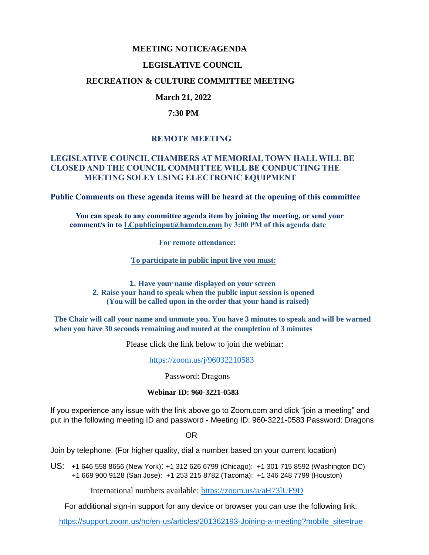# **MEETING NOTICE/AGENDA**

#### **LEGISLATIVE COUNCIL**

#### **RECREATION & CULTURE COMMITTEE MEETING**

## **March 21, 2022**

#### **7:30 PM**

## **REMOTE MEETING**

#### **LEGISLATIVE COUNCIL CHAMBERS AT MEMORIAL TOWN HALL WILL BE CLOSED AND THE COUNCIL COMMITTEE WILL BE CONDUCTING THE MEETING SOLEY USING ELECTRONIC EQUIPMENT**

**Public Comments on these agenda items will be heard at the opening of this committee** 

 **You can speak to any committee agenda item by joining the meeting, or send your comment/s in to [LCpublicinput@hamden.com](mailto:LCpublicinput@hamden.com) by 3:00 PM of this agenda date**

 **For remote attendance:**

**To participate in public input live you must:**

**1. Have your name displayed on your screen 2. Raise your hand to speak when the public input session is opened (You will be called upon in the order that your hand is raised)**

**The Chair will call your name and unmute you. You have 3 minutes to speak and will be warned when you have 30 seconds remaining and muted at the completion of 3 minutes**

Please click the link below to join the webinar:

<https://zoom.us/j/96032210583>

Password: Dragons

#### **Webinar ID: 960-3221-0583**

If you experience any issue with the link above go to Zoom.com and click "join a meeting" and put in the following meeting ID and password - Meeting ID: 960-3221-0583 Password: Dragons

OR

Join by telephone. (For higher quality, dial a number based on your current location)

US: [+1 646 558 8656 \(New York\)](tel:+16465588656): [+1 312 626 6799 \(Chicago\):](tel:+13126266799) [+1 301 715 8592 \(Washington DC\)](tel:+13017158592) +1 669 900 9128 (San Jose): [+1 253 215 8782 \(Tacoma\):](tel:+12532158782) [+1 346 248 7799 \(Houston\)](tel:+13462487799)

International numbers available:<https://zoom.us/u/aH73lUF9D>

For additional sign-in support for any device or browser you can use the following link:

[https://support.zoom.us/hc/en-us/articles/201362193-Joining-a-meeting?mobile\\_site=true](https://support.zoom.us/hc/en-us/articles/201362193-Joining-a-meeting?mobile_site=true)